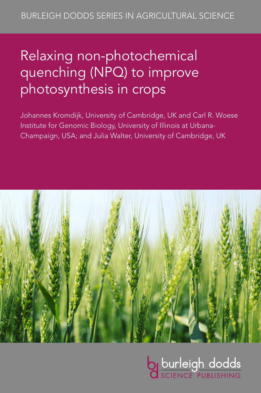# Relaxing non-photochemical quenching (NPQ) to improve photosynthesis in crops

Johannes Kromdijk, University of Cambridge, UK and Carl R. Woese Institute for Genomic Biology, University of Illinois at Urbana-Champaign, USA; and Julia Walter, University of Cambridge, UK



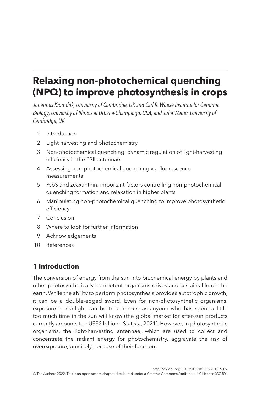# **Relaxing non-photochemical quenching (NPQ) to improve photosynthesis in crops**

*Johannes Kromdijk, University of Cambridge, UK and Carl R. Woese Institute for Genomic Biology, University of Illinois at Urbana-Champaign, USA; and Julia Walter, University of Cambridge, UK*

- <span id="page-1-1"></span>1 [Introduction](#page-1-0)
- <span id="page-1-2"></span>2 [Light harvesting and photochemistry](#page-2-0)
- <span id="page-1-3"></span>3 [Non-photochemical quenching: dynamic regulation of light-harvesting](#page-6-0)  [efficiency in the PSII antennae](#page-6-0)
- <span id="page-1-4"></span>4 [Assessing non-photochemical quenching via fluorescence](#page-7-0)  [measurements](#page-7-0)
- <span id="page-1-5"></span>5 [PsbS and zeaxanthin: important factors controlling non-photochemical](#page-8-0)  [quenching formation and relaxation in higher plants](#page-8-0)
- <span id="page-1-6"></span>6 [Manipulating non-photochemical quenching to improve photosynthetic](#page-11-0)  [efficiency](#page-11-0)
- <span id="page-1-7"></span>7 [Conclusion](#page-14-0)
- <span id="page-1-8"></span>8 [Where to look for further information](#page-15-0)
- <span id="page-1-9"></span>9 [Acknowledgements](#page-15-1)
- <span id="page-1-10"></span>10 [References](#page-15-2)

# <span id="page-1-0"></span>**[1 Introduction](#page-1-1)**

The conversion of energy from the sun into biochemical energy by plants and other photosynthetically competent organisms drives and sustains life on the earth. While the ability to perform photosynthesis provides autotrophic growth, it can be a double-edged sword. Even for non-photosynthetic organisms, exposure to sunlight can be treacherous, as anyone who has spent a little too much time in the sun will know (the global market for after-sun products currently amounts to ~US\$2 billion – [Statista, 2021\)](#page-18-0). However, in photosynthetic organisms, the light-harvesting antennae, which are used to collect and concentrate the radiant energy for photochemistry, aggravate the risk of overexposure, precisely because of their function.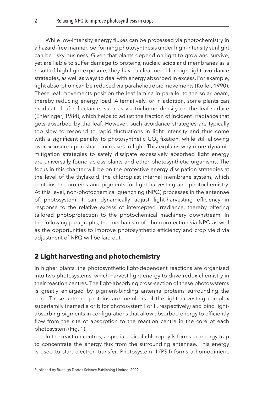While low-intensity energy fluxes can be processed via photochemistry in a hazard-free manner, performing photosynthesis under high-intensity sunlight can be risky business. Given that plants depend on light to grow and survive, yet are liable to suffer damage to proteins, nucleic acids and membranes as a result of high light exposure, they have a clear need for high light avoidance strategies, as well as ways to deal with energy absorbed in excess. For example, light absorption can be reduced via paraheliotropic movements [\(Koller, 1990](#page-17-0)). These leaf movements position the leaf lamina in parallel to the solar beam, thereby reducing energy load. Alternatively, or in addition, some plants can modulate leaf reflectance, such as via trichome density on the leaf surface ([Ehleringer, 1984](#page-16-0)), which helps to adjust the fraction of incident irradiance that gets absorbed by the leaf. However, such avoidance strategies are typically too slow to respond to rapid fluctuations in light intensity and thus come with a significant penalty to photosynthetic CO<sub>2</sub> fixation, while still allowing overexposure upon sharp increases in light. This explains why more dynamic mitigation strategies to safely dissipate excessively absorbed light energy are universally found across plants and other photosynthetic organisms. The focus in this chapter will be on the protective energy dissipation strategies at the level of the thylakoid, the chloroplast internal membrane system, which contains the proteins and pigments for light harvesting and photochemistry. At this level, non-photochemical quenching (NPQ) processes in the antennae of photosystem II can dynamically adjust light-harvesting efficiency in response to the relative excess of intercepted irradiance, thereby offering tailored photoprotection to the photochemical machinery downstream. In the following paragraphs, the mechanism of photoprotection via NPQ as well as the opportunities to improve photosynthetic efficiency and crop yield via adjustment of NPQ will be laid out.

## <span id="page-2-0"></span>**[2 Light harvesting and photochemistry](#page-1-2)**

In higher plants, the photosynthetic light-dependent reactions are organised into two photosystems, which harvest light energy to drive redox chemistry in their reaction centres. The light-absorbing cross-section of these photosystems is greatly enlarged by pigment-binding antenna proteins surrounding the core. These antenna proteins are members of the light-harvesting complex superfamily (named a or b for photosystem I or II, respectively) and bind lightabsorbing pigments in configurations that allow absorbed energy to efficiently flow from the site of absorption to the reaction centre in the core of each photosystem ([Fig. 1](#page-3-0)).

In the reaction centres, a special pair of chlorophylls forms an energy trap to concentrate the energy flux from the surrounding antennae. This energy is used to start electron transfer. Photosystem II (PSII) forms a homodimeric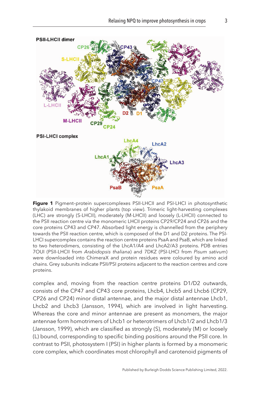<span id="page-3-0"></span>

**Figure 1** Pigment–protein supercomplexes PSII-LHCII and PSI-LHCI in photosynthetic thylakoid membranes of higher plants (top view). Trimeric light-harvesting complexes (LHC) are strongly (S-LHCII), moderately (M-LHCII) and loosely (L-LHCII) connected to the PSII reaction centre via the monomeric LHCII proteins CP29/CP24 and CP26 and the core proteins CP43 and CP47. Absorbed light energy is channelled from the periphery towards the PSII reaction centre, which is composed of the D1 and D2 proteins. The PSI-LHCI supercomplex contains the reaction centre proteins PsaA and PsaB, which are linked to two heterodimers, consisting of the LhcA1/A4 and LhcA2/A3 proteins. PDB entries 7OUI (PSII-LHCII from *Arabidopsis thaliana*) and 7DKZ (PSI-LHCI from *Pisum sativum*) were downloaded into ChimeraX and protein residues were coloured by amino acid chains. Grey subunits indicate PSII/PSI proteins adjacent to the reaction centres and core proteins.

complex and, moving from the reaction centre proteins D1/D2 outwards, consists of the CP47 and CP43 core proteins, Lhcb4, Lhcb5 and Lhcb6 (CP29, CP26 and CP24) minor distal antennae, and the major distal antennae Lhcb1, Lhcb2 and Lhcb3 [\(Jansson, 1994\)](#page-17-1), which are involved in light harvesting. Whereas the core and minor antennae are present as monomers, the major antennae form homotrimers of Lhcb1 or heterotrimers of Lhcb1/2 and Lhcb1/3 [\(Jansson, 1999](#page-17-2)), which are classified as strongly (S), moderately (M) or loosely (L) bound, corresponding to specific binding positions around the PSII core. In contrast to PSII, photosystem I (PSI) in higher plants is formed by a monomeric core complex, which coordinates most chlorophyll and carotenoid pigments of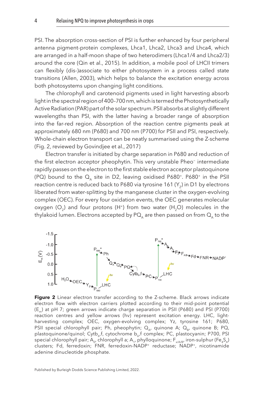<span id="page-4-0"></span>PSI. The absorption cross-section of PSI is further enhanced by four peripheral antenna pigment-protein complexes, Lhca1, Lhca2, Lhca3 and Lhca4, which are arranged in a half-moon shape of two heterodimers (Lhca1/4 and Lhca2/3) around the core [\(Qin et al., 2015](#page-18-1)). In addition, a mobile pool of LHCII trimers can flexibly (dis-)associate to either photosystem in a process called state transitions ([Allen, 2003](#page-15-3)), which helps to balance the excitation energy across both photosystems upon changing light conditions.

The chlorophyll and carotenoid pigments used in light harvesting absorb light in the spectral region of 400–700 nm, which is termed the Photosynthetically Active Radiation (PAR) part of the solar spectrum. PSII absorbs at slightly different wavelengths than PSI, with the latter having a broader range of absorption into the far-red region. Absorption of the reaction centre pigments peak at approximately 680 nm (P680) and 700 nm (P700) for PSII and PSI, respectively. Whole-chain electron transport can be neatly summarised using the Z-scheme (Fig. 2, reviewed by Govindjee et al., [2017](#page-16-1))

Electron transfer is initiated by charge separation in P680 and reduction of the first electron acceptor pheophytin. This very unstable Pheo− intermediate rapidly passes on the electron to the first stable electron acceptor plastoquinone (PQ) bound to the  $Q_{\text{A}}$  site in D2, leaving oxidised P680<sup>+</sup>. P680<sup>+</sup> in the PSII reaction centre is reduced back to P680 via tyrosine 161 (Y<sub>z</sub>) in D1 by electrons liberated from water-splitting by the manganese cluster in the oxygen-evolving complex (OEC). For every four oxidation events, the OEC generates molecular oxygen (O<sub>2</sub>) and four protons (H<sup>+</sup>) from two water (H<sub>2</sub>O) molecules in the thylakoid lumen. Electrons accepted by  $PQ_{\alpha}$  are then passed on from  $Q_{\alpha}$  to the



Figure 2 Linear electron transfer according to the Z-scheme. Black arrows indicate electron flow with electron carriers plotted according to their mid-point potential (E<sub>m</sub>) at pH 7; green arrows indicate charge separation in PSII (P680) and PSI (P700) reaction centres and yellow arrows (hv) represent excitation energy. LHC, lightharvesting complex; OEC, oxygen-evolving complex; Yz, tyrosine 161; P680, PSII special chlorophyll pair; Ph, pheophytin;  $Q_{\alpha}$ , quinone A;  $Q_{B}$ , quinone B; PQ, plastoquinone/quinol; Cytb<sub>6</sub>,f, cytochrome b<sub>6</sub>,f complex; PC, plastocyanin; P700, PSI special chlorophyll pair; A<sub>0</sub>, chlorophyll a; A<sub>1</sub>, phylloquinone; F<sub>x/A/B</sub>, iron-sulphur (Fe<sub>4</sub>S<sub>4</sub>) clusters; Fd, ferredoxin; FNR, ferredoxin-NADP<sup>+</sup> reductase; NADP<sup>+</sup>, nicotinamide adenine dinucleotide phosphate.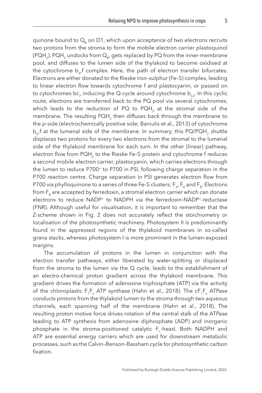quinone bound to  $Q<sub>a</sub>$  on D1, which upon acceptance of two electrons recruits two protons from the stroma to form the mobile electron carrier plastoquinol (PQH<sub>2</sub>). PQH<sub>2</sub> undocks from  $Q_{p}$ , gets replaced by PQ from the inner-membrane pool, and diffuses to the lumen side of the thylakoid to become oxidised at the cytochrome  $b_{\lambda}$ , f complex. Here, the path of electron transfer bifurcates. Electrons are either donated to the Rieske iron–sulphur (Fe–S) complex, leading to linear electron flow towards cytochrome f and plastocyanin, or passed on to cytochromes bc<sub>1</sub>, inducing the Q-cycle around cytochrome b $_{\rm 6,f}$  In this cyclic route, electrons are transferred back to the PQ pool via several cytochromes, which leads to the reduction of PQ to PQH<sub>2</sub> at the stromal side of the membrane. The resulting PQH<sub>2</sub> then diffuses back through the membrane to the *p*-side (electrochemically positive side; [Baniulis et al., 2013\)](#page-15-4) of cytochrome  $b_{\mu}$ f at the lumenal side of the membrane. In summary, this PQ/PQH<sub>2</sub> shuttle displaces two protons for every two electrons from the stromal to the lumenal side of the thylakoid membrane for each turn. In the other (linear) pathway, electron flow from PQH<sub>2</sub> to the Rieske Fe-S protein and cytochrome f reduces a second mobile electron carrier, plastocyanin, which carries electrons through the lumen to reduce P700<sup>+</sup> to P700 in PSI, following charge separation in the P700 reaction centre. Charge separation in PSI generates electron flow from P700 via phylloquinone to a series of three Fe-S clusters:  $F_{y}$ ,  $F_{\lambda}$  and  $F_{B}$ . Electrons from F<sub>B</sub> are accepted by ferredoxin, a stromal electron carrier which can donate electrons to reduce NADP<sup>+</sup> to NADPH via the ferredoxin-NADP<sup>+</sup>-reductase (FNR). Although useful for visualisation, it is important to remember that the Z-scheme shown in [Fig. 2](#page-4-0) does not accurately reflect the stoichiometry or localisation of the photosynthetic machinery. Photosystem II is predominantly found in the appressed regions of the thylakoid membranes in so-called grana stacks, whereas photosystem I is more prominent in the lumen-exposed margins.

The accumulation of protons in the lumen in conjunction with the electron transfer pathways, either liberated by water-splitting or displaced from the stroma to the lumen via the Q cycle, leads to the establishment of an electro-chemical proton gradient across the thylakoid membrane. This gradient drives the formation of adenosine triphosphate (ATP) via the activity of the chloroplastic  $F_1F_0$  ATP synthase [\(Hahn et al., 2018](#page-16-2)). The c $F_1F_0$  ATPase conducts protons from the thylakoid lumen to the stroma through two aqueous channels, each spanning half of the membrane [\(Hahn et al., 2018\)](#page-16-2). The resulting proton motive force drives rotation of the central stalk of the ATPase leading to ATP synthesis from adenosine diphosphate (ADP) and inorganic phosphate in the stroma-positioned catalytic  $F_1$ -head. Both NADPH and ATP are essential energy carriers which are used for downstream metabolic processes, such as the Calvin–Benson–Bassham cycle for photosynthetic carbon fixation.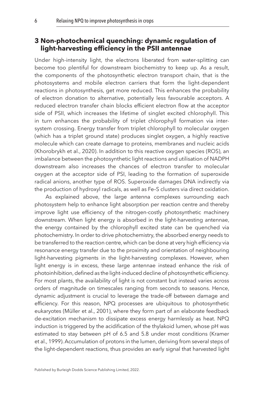#### <span id="page-6-0"></span>**[3 Non-photochemical quenching: dynamic regulation of](#page-1-3)  [light-harvesting efficiency in the PSII antennae](#page-1-3)**

Under high-intensity light, the electrons liberated from water-splitting can become too plentiful for downstream biochemistry to keep up. As a result, the components of the photosynthetic electron transport chain, that is the photosystems and mobile electron carriers that form the light-dependent reactions in photosynthesis, get more reduced. This enhances the probability of electron donation to alternative, potentially less favourable acceptors. A reduced electron transfer chain blocks efficient electron flow at the acceptor side of PSII, which increases the lifetime of singlet excited chlorophyll. This in turn enhances the probability of triplet chlorophyll formation via intersystem crossing. Energy transfer from triplet chlorophyll to molecular oxygen (which has a triplet ground state) produces singlet oxygen, a highly reactive molecule which can create damage to proteins, membranes and nucleic acids ([Khorobrykh et al., 2020\)](#page-17-3). In addition to this reactive oxygen species (ROS), an imbalance between the photosynthetic light reactions and utilisation of NADPH downstream also increases the chances of electron transfer to molecular oxygen at the acceptor side of PSI, leading to the formation of superoxide radical anions, another type of ROS. Superoxide damages DNA indirectly via the production of hydroxyl radicals, as well as Fe–S clusters via direct oxidation.

As explained above, the large antenna complexes surrounding each photosystem help to enhance light absorption per reaction centre and thereby improve light use efficiency of the nitrogen-costly photosynthetic machinery downstream. When light energy is absorbed in the light-harvesting antennae, the energy contained by the chlorophyll excited state can be quenched via photochemistry. In order to drive photochemistry, the absorbed energy needs to be transferred to the reaction centre, which can be done at very high efficiency via resonance energy transfer due to the proximity and orientation of neighbouring light-harvesting pigments in the light-harvesting complexes. However, when light energy is in excess, these large antennae instead enhance the risk of photoinhibition, defined as the light-induced decline of photosynthetic efficiency. For most plants, the availability of light is not constant but instead varies across orders of magnitude on timescales ranging from seconds to seasons. Hence, dynamic adjustment is crucial to leverage the trade-off between damage and efficiency. For this reason, NPQ processes are ubiquitous to photosynthetic eukaryotes [\(Müller et al., 2001](#page-17-4)), where they form part of an elaborate feedback de-excitation mechanism to dissipate excess energy harmlessly as heat. NPQ induction is triggered by the acidification of the thylakoid lumen, whose pH was estimated to stay between pH of 6.5 and 5.8 under most conditions [\(Kramer](#page-17-5)  [et al., 1999\)](#page-17-5). Accumulation of protons in the lumen, deriving from several steps of the light-dependent reactions, thus provides an early signal that harvested light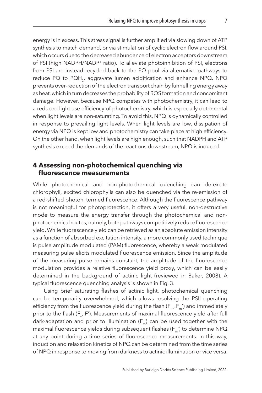energy is in excess. This stress signal is further amplified via slowing down of ATP synthesis to match demand, or via stimulation of cyclic electron flow around PSI, which occurs due to the decreased abundance of electron acceptors downstream of PSI (high NADPH/NADP<sup>+</sup> ratio). To alleviate photoinhibition of PSI, electrons from PSI are instead recycled back to the PQ pool via alternative pathways to reduce PQ to PQH<sub>2</sub>, aggravate lumen acidification and enhance NPQ. NPQ prevents over-reduction of the electron transport chain by funnelling energy away as heat, which in turn decreases the probability of ROS formation and concomitant damage. However, because NPQ competes with photochemistry, it can lead to a reduced light use efficiency of photochemistry, which is especially detrimental when light levels are non-saturating. To avoid this, NPQ is dynamically controlled in response to prevailing light levels. When light levels are low, dissipation of energy via NPQ is kept low and photochemistry can take place at high efficiency. On the other hand, when light levels are high enough, such that NADPH and ATP synthesis exceed the demands of the reactions downstream, NPQ is induced.

#### <span id="page-7-0"></span>**[4 Assessing non-photochemical quenching via](#page-1-4)  [fluorescence measurements](#page-1-4)**

While photochemical and non-photochemical quenching can de-excite chlorophyll, excited chlorophylls can also be quenched via the re-emission of a red-shifted photon, termed fluorescence. Although the fluorescence pathway is not meaningful for photoprotection, it offers a very useful, non-destructive mode to measure the energy transfer through the photochemical and nonphotochemical routes; namely, both pathways competitively reduce fluorescence yield. While fluorescence yield can be retrieved as an absolute emission intensity as a function of absorbed excitation intensity, a more commonly used technique is pulse amplitude modulated (PAM) fluorescence, whereby a weak modulated measuring pulse elicits modulated fluorescence emission. Since the amplitude of the measuring pulse remains constant, the amplitude of the fluorescence modulation provides a relative fluorescence yield proxy, which can be easily determined in the background of actinic light (reviewed in [Baker, 2008](#page-15-5)). A typical fluorescence quenching analysis is shown in [Fig. 3.](#page-8-1)

Using brief saturating flashes of actinic light, photochemical quenching can be temporarily overwhelmed, which allows resolving the PSII operating efficiency from the fluorescence yield during the flash ( $F_{m'}F_{m}$ ') and immediately prior to the flash ( $F_{o}$ , F'). Measurements of maximal fluorescence yield after full dark-adaptation and prior to illumination  $(F_m)$  can be used together with the maximal fluorescence yields during subsequent flashes ( $F_m'$ ) to determine NPQ at any point during a time series of fluorescence measurements. In this way, induction and relaxation kinetics of NPQ can be determined from the time series of NPQ in response to moving from darkness to actinic illumination or vice versa.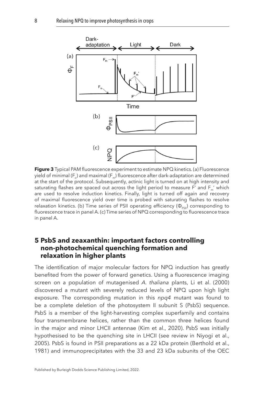<span id="page-8-1"></span>

**Figure 3** Typical PAM fluorescence experiment to estimate NPQ kinetics. (a) Fluorescence yield of minimal ( $F_{n}$ ) and maximal ( $F_{m}$ ) fluorescence after dark-adaptation are determined at the start of the protocol. Subsequently, actinic light is turned on at high intensity and saturating flashes are spaced out across the light period to measure F' and  $F_m'$  which are used to resolve induction kinetics. Finally, light is turned off again and recovery of maximal fluorescence yield over time is probed with saturating flashes to resolve relaxation kinetics. (b) Time series of PSII operating efficiency ( $\Phi_{PSII}$ ) corresponding to fluorescence trace in panel A. (c) Time series of NPQ corresponding to fluorescence trace in panel A.

#### <span id="page-8-0"></span>**[5 PsbS and zeaxanthin: important factors controlling](#page-1-5)  [non-photochemical quenching formation and](#page-1-5)  [relaxation in higher plants](#page-1-5)**

The identification of major molecular factors for NPQ induction has greatly benefited from the power of forward genetics. Using a fluorescence imaging screen on a population of mutagenised *A. thaliana* plants, [Li et al. \(2000\)](#page-17-6)  discovered a mutant with severely reduced levels of NPQ upon high light exposure. The corresponding mutation in this *npq4* mutant was found to be a complete deletion of the photosystem II subunit S (PsbS) sequence. PsbS is a member of the light-harvesting complex superfamily and contains four transmembrane helices, rather than the common three helices found in the major and minor LHCII antennae [\(Kim et al., 2020](#page-17-7)). PsbS was initially hypothesised to be the quenching site in LHCII (see review in [Niyogi et al.,](#page-18-2)  [2005\)](#page-18-2). PsbS is found in PSII preparations as a 22 kDa protein ([Berthold et al.,](#page-16-3)  [1981\)](#page-16-3) and immunoprecipitates with the 33 and 23 kDa subunits of the OEC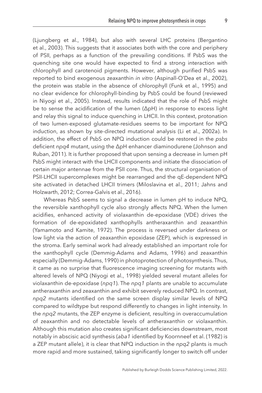([Ljungberg et al., 1984\)](#page-17-8), but also with several LHC proteins [\(Bergantino](#page-15-6) [et al., 2003\)](#page-15-6). This suggests that it associates both with the core and periphery of PSII, perhaps as a function of the prevailing conditions. If PsbS was the quenching site one would have expected to find a strong interaction with chlorophyll and carotenoid pigments. However, although purified PsbS was reported to bind exogenous zeaxanthin *in vitro* [\(Aspinall-O'Dea et al., 2002](#page-15-7)), the protein was stable in the absence of chlorophyll [\(Funk et al., 1995](#page-16-4)) and no clear evidence for chlorophyll-binding by PsbS could be found (reviewed in [Niyogi et al., 2005](#page-18-2)). Instead, results indicated that the role of PsbS might be to sense the acidification of the lumen (ΔpH) in response to excess light and relay this signal to induce quenching in LHCII. In this context, protonation of two lumen-exposed glutamate-residues seems to be important for NPQ induction, as shown by site-directed mutational analysis [\(Li et al., 2002a](#page-17-9)). In addition, the effect of PsbS on NPQ induction could be restored in the *psbs* deficient *npq4* mutant, using the ΔpH enhancer diaminodurene ([Johnson and](#page-17-10) [Ruban, 2011\)](#page-17-10). It is further proposed that upon sensing a decrease in lumen pH PsbS might interact with the LHCII components and initiate the dissociation of certain major antennae from the PSII core. Thus, the structural organisation of PSII-LHCII supercomplexes might be rearranged and the qE-dependent NPQ site activated in detached LHCII trimers ([Miloslavina et al., 2011;](#page-17-11) [Jahns and](#page-16-5) [Holzwarth, 2012](#page-16-5); [Correa-Galvis et al., 2016\)](#page-16-6).

Whereas PsbS seems to signal a decrease in lumen pH to induce NPQ, the reversible xanthophyll cycle also strongly affects NPQ. When the lumen acidifies, enhanced activity of violaxanthin de-epoxidase (VDE) drives the formation of de-epoxidated xanthophylls antheraxanthin and zeaxanthin ([Yamamoto and Kamite, 1972\)](#page-18-3). The process is reversed under darkness or low light via the action of zeaxanthin epoxidase (ZEP), which is expressed in the stroma. Early seminal work had already established an important role for the xanthophyll cycle ([Demmig-Adams and Adams, 1996](#page-16-7)) and zeaxanthin especially [\(Demmig-Adams, 1990](#page-16-8)) in photoprotection of photosynthesis. Thus, it came as no surprise that fluorescence imaging screening for mutants with altered levels of NPQ ([Niyogi et al., 1998](#page-18-4)) yielded several mutant alleles for violaxanthin de-epoxidase (*npq1*). The *npq1* plants are unable to accumulate antheraxanthin and zeaxanthin and exhibit severely reduced NPQ. In contrast, *npq2* mutants identified on the same screen display similar levels of NPQ compared to wildtype but respond differently to changes in light intensity. In the *npq2* mutants, the ZEP enzyme is deficient, resulting in overaccumulation of zeaxanthin and no detectable levels of antheraxanthin or violaxanthin. Although this mutation also creates significant deficiencies downstream, most notably in abscisic acid synthesis (*aba1* identified by [Koornneef et al. \(1982\)](#page-17-12) is a ZEP mutant allele), it is clear that NPQ induction in the *npq2* plants is much more rapid and more sustained, taking significantly longer to switch off under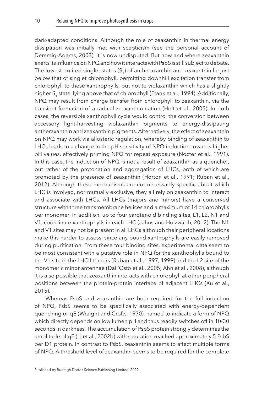dark-adapted conditions. Although the role of zeaxanthin in thermal energy dissipation was initially met with scepticism (see the personal account of [Demmig-Adams, 2003\)](#page-16-9), it is now undisputed. But how and where zeaxanthin exerts its influence on NPQ and how it interacts with PsbS is still subject to debate. The lowest excited singlet states  $(S<sub>1</sub>)$  of antheraxanthin and zeaxanthin lie just below that of singlet chlorophyll, permitting downhill excitation transfer from chlorophyll to these xanthophylls, but not to violaxanthin which has a slightly higher S<sub>1</sub> state, lying above that of chlorophyll ([Frank et al., 1994](#page-16-10)). Additionally, NPQ may result from charge transfer from chlorophyll to zeaxanthin, via the transient formation of a radical zeaxanthin cation ([Holt et al., 2005](#page-16-11)). In both cases, the reversible xanthophyll cycle would control the conversion between accessory light-harvesting violaxanthin pigments to energy-dissipating antheraxanthin and zeaxanthin pigments. Alternatively, the effect of zeaxanthin on NPQ may work via allosteric regulation, whereby binding of zeaxanthin to LHCs leads to a change in the pH sensitivity of NPQ induction towards higher pH values, effectively priming NPQ for repeat exposure [\(Nocter et al., 1991](#page-18-5)). In this case, the induction of NPQ is not a result of zeaxanthin as a quencher, but rather of the protonation and aggregation of LHCs, both of which are promoted by the presence of zeaxanthin [\(Horton et al., 1991](#page-16-12); [Ruban et al.,](#page-18-6)  [2012\)](#page-18-6). Although these mechanisms are not necessarily specific about which LHC is involved, nor mutually exclusive, they all rely on zeaxanthin to interact and associate with LHCs. All LHCs (majors and minors) have a conserved structure with three transmembrane helices and a maximum of 14 chlorophylls per monomer. In addition, up to four carotenoid binding sites, L1, L2, N1 and V1, coordinate xanthophylls in each LHC ([Jahns and Holzwarth, 2012\)](#page-16-5). The N1 and V1 sites may not be present in all LHCs although their peripheral locations make this harder to assess, since any bound xanthophylls are easily removed during purification. From these four binding sites, experimental data seem to be most consistent with a putative role in NPQ for the xanthophylls bound to the V1 site in the LHCII trimers [\(Ruban et al., 1997](#page-18-7), [1999](#page-18-8)) and the L2 site of the monomeric minor antennae [\(Dall'Osto et al., 2005](#page-16-13); [Ahn et al., 2008\)](#page-15-8), although it is also possible that zeaxanthin interacts with chlorophyll at other peripheral positions between the protein-protein interface of adjacent LHCs [\(Xu et al.,](#page-18-9)  [2015\)](#page-18-9).

Whereas PsbS and zeaxanthin are both required for the full induction of NPQ, PsbS seems to be specifically associated with energy-dependent quenching or qE ([Wraight and Crofts, 1970](#page-18-10)), named to indicate a form of NPQ which directly depends on low lumen pH and thus readily switches off in 10-30 seconds in darkness. The accumulation of PsbS protein strongly determines the amplitude of qE [\(Li et al., 2002b\)](#page-17-13) with saturation reached approximately 5 PsbS per D1 protein. In contrast to PsbS, zeaxanthin seems to affect multiple forms of NPQ. A threshold level of zeaxanthin seems to be required for the complete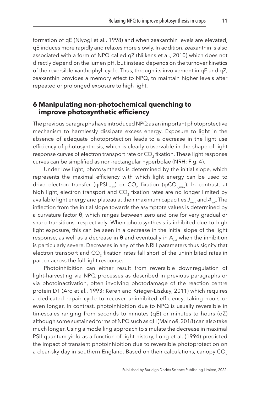formation of qE [\(Niyogi et al., 1998](#page-18-4)) and when zeaxanthin levels are elevated, qE induces more rapidly and relaxes more slowly. In addition, zeaxanthin is also associated with a form of NPQ called qZ ([Nilkens et al., 2010](#page-18-11)) which does not directly depend on the lumen pH, but instead depends on the turnover kinetics of the reversible xanthophyll cycle. Thus, through its involvement in qE and qZ, zeaxanthin provides a memory effect to NPQ, to maintain higher levels after repeated or prolonged exposure to high light.

#### <span id="page-11-0"></span>**[6 Manipulating non-photochemical quenching to](#page-1-6)  [improve photosynthetic efficiency](#page-1-6)**

The previous paragraphs have introduced NPQ as an important photoprotective mechanism to harmlessly dissipate excess energy. Exposure to light in the absence of adequate photoprotection leads to a decrease in the light use efficiency of photosynthesis, which is clearly observable in the shape of light response curves of electron transport rate or CO<sub>2</sub> fixation. These light response curves can be simplified as non-rectangular hyperbolae (NRH; [Fig. 4](#page-12-0)).

Under low light, photosynthesis is determined by the initial slope, which represents the maximal efficiency with which light energy can be used to drive electron transfer (φPSII<sub>max</sub>) or CO<sub>2</sub> fixation (φCO<sub>2 max</sub>). In contrast, at high light, electron transport and CO<sub>2</sub> fixation rates are no longer limited by available light energy and plateau at their maximum capacities *Jmax* and *Asat*. The inflection from the initial slope towards the asymptote values is determined by a curvature factor θ, which ranges between zero and one for very gradual or sharp transitions, respectively. When photosynthesis is inhibited due to high light exposure, this can be seen in a decrease in the initial slope of the light response, as well as a decrease in  $\theta$  and eventually in A<sub>sat</sub> when the inhibition is particularly severe. Decreases in any of the NRH parameters thus signify that electron transport and CO<sub>2</sub> fixation rates fall short of the uninhibited rates in part or across the full light response.

Photoinhibition can either result from reversible downregulation of light-harvesting via NPQ processes as described in previous paragraphs or via photoinactivation, often involving photodamage of the reaction centre protein D1 [\(Aro et al., 1993](#page-15-9); [Keren and Krieger-Liszkay, 2011\)](#page-17-14) which requires a dedicated repair cycle to recover uninhibited efficiency, taking hours or even longer. In contrast, photoinhibition due to NPQ is usually reversible in timescales ranging from seconds to minutes (qE) or minutes to hours (qZ) although some sustained forms of NPQ such as qH ([Malnoë, 2018](#page-17-15)) can also take much longer. Using a modelling approach to simulate the decrease in maximal PSII quantum yield as a function of light history, [Long et al. \(1994\)](#page-17-16) predicted the impact of transient photoinhibition due to reversible photoprotection on a clear-sky day in southern England. Based on their calculations, canopy CO<sub>2</sub>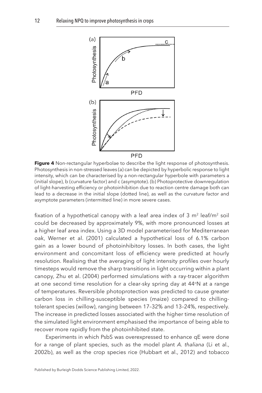<span id="page-12-0"></span>

Figure 4 Non-rectangular hyperbolae to describe the light response of photosynthesis. Photosynthesis in non-stressed leaves (a) can be depicted by hyperbolic response to light intensity, which can be characterised by a non-rectangular hyperbole with parameters a (initial slope), b (curvature factor) and c (asymptote). (b) Photoprotective downregulation of light-harvesting efficiency or photoinhibition due to reaction centre damage both can lead to a decrease in the initial slope (dotted line), as well as the curvature factor and asymptote parameters (intermitted line) in more severe cases.

fixation of a hypothetical canopy with a leaf area index of 3  $m<sup>2</sup>$  leaf/m<sup>2</sup> soil could be decreased by approximately 9%, with more pronounced losses at a higher leaf area index. Using a 3D model parameterised for Mediterranean oak, [Werner et al. \(2001\)](#page-18-12) calculated a hypothetical loss of 6.1% carbon gain as a lower bound of photoinhibitory losses. In both cases, the light environment and concomitant loss of efficiency were predicted at hourly resolution. Realising that the averaging of light intensity profiles over hourly timesteps would remove the sharp transitions in light occurring within a plant canopy, [Zhu et al. \(2004\)](#page-18-13) performed simulations with a ray-tracer algorithm at one second time resolution for a clear-sky spring day at 44°N at a range of temperatures. Reversible photoprotection was predicted to cause greater carbon loss in chilling-susceptible species (maize) compared to chillingtolerant species (willow), ranging between 17–32% and 13–24%, respectively. The increase in predicted losses associated with the higher time resolution of the simulated light environment emphasised the importance of being able to recover more rapidly from the photoinhibited state.

Experiments in which PsbS was overexpressed to enhance qE were done for a range of plant species, such as the model plant *A. thaliana* ([Li et al.,](#page-17-13)  [2002b](#page-17-13)), as well as the crop species rice [\(Hubbart et al., 2012\)](#page-16-14) and tobacco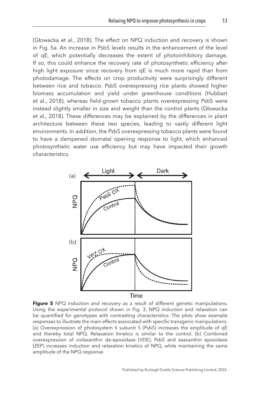<span id="page-13-0"></span>([Głowacka et al., 2018](#page-16-15)). The effect on NPQ induction and recovery is shown in Fig. 5a. An increase in PsbS levels results in the enhancement of the level of qE, which potentially decreases the extent of photoinhibitory damage. If so, this could enhance the recovery rate of photosynthetic efficiency after high light exposure since recovery from qE is much more rapid than from photodamage. The effects on crop productivity were surprisingly different between rice and tobacco. PsbS overexpressing rice plants showed higher biomass accumulation and yield under greenhouse conditions [\(Hubbart](#page-16-16) [et al., 2018\)](#page-16-16), whereas field-grown tobacco plants overexpressing PsbS were instead slightly smaller in size and weight than the control plants ([Głowacka](#page-16-15) [et al., 2018\)](#page-16-15). These differences may be explained by the differences in plant architecture between these two species, leading to vastly different light environments. In addition, the PsbS overexpressing tobacco plants were found to have a dampened stomatal opening response to light, which enhanced photosynthetic water use efficiency but may have impacted their growth

characteristics.



**Figure 5** NPQ induction and recovery as a result of different genetic manipulations. Using the experimental protocol shown in [Fig. 3](#page-8-1), NPQ induction and relaxation can be quantified for genotypes with contrasting characteristics. The plots show example responses to illustrate the main effects associated with specific transgenic manipulations. (a) Overexpression of photosystem II subunit S (PsbS) increases the amplitude of qE and thereby total NPQ. Relaxation kinetics is similar to the control. (b) Combined overexpression of violaxanthin de-epoxidase (VDE), PsbS and zeaxanthin epoxidase (ZEP) increases induction and relaxation kinetics of NPQ, while maintaining the same amplitude of the NPQ response.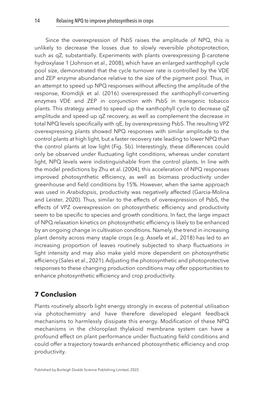Since the overexpression of PsbS raises the amplitude of NPQ, this is unlikely to decrease the losses due to slowly reversible photoprotection, such as qZ, substantially. Experiments with plants overexpressing β-carotene hydroxylase 1 ([Johnson et al., 2008\)](#page-17-17), which have an enlarged xanthophyll cycle pool size, demonstrated that the cycle turnover rate is controlled by the VDE and ZEP enzyme abundance relative to the size of the pigment pool. Thus, in an attempt to speed up NPQ responses without affecting the amplitude of the response, [Kromdijk et al. \(2016\)](#page-17-18) overexpressed the xanthophyll-converting enzymes VDE and ZEP in conjunction with PsbS in transgenic tobacco plants. This strategy aimed to speed up the xanthophyll cycle to decrease qZ amplitude and speed up qZ recovery, as well as complement the decrease in total NPQ levels specifically with qE, by overexpressing PsbS. The resulting VPZ overexpressing plants showed NPQ responses with similar amplitude to the control plants at high light, but a faster recovery rate leading to lower NPQ than the control plants at low light ([Fig. 5b\)](#page-13-0). Interestingly, these differences could only be observed under fluctuating light conditions, whereas under constant light, NPQ levels were indistinguishable from the control plants. In line with the model predictions by [Zhu et al. \(2004\),](#page-18-13) this acceleration of NPQ responses improved photosynthetic efficiency, as well as biomass productivity under greenhouse and field conditions by 15%. However, when the same approach was used in *Arabidopsis*, productivity was negatively affected ([Garcia-Molina](#page-16-17)  [and Leister, 2020\)](#page-16-17). Thus, similar to the effects of overexpression of PsbS, the effects of VPZ overexpression on photosynthetic efficiency and productivity seem to be specific to species and growth conditions. In fact, the large impact of NPQ relaxation kinetics on photosynthetic efficiency is likely to be enhanced by an ongoing change in cultivation conditions. Namely, the trend in increasing plant density across many staple crops (e.g. [Assefa et al., 2018](#page-15-10)) has led to an increasing proportion of leaves routinely subjected to sharp fluctuations in light intensity and may also make yield more dependent on photosynthetic efficiency ([Sales et al., 2021](#page-18-14)). Adjusting the photosynthetic and photoprotective responses to these changing production conditions may offer opportunities to enhance photosynthetic efficiency and crop productivity.

# <span id="page-14-0"></span>**[7 Conclusion](#page-1-7)**

Plants routinely absorb light energy strongly in excess of potential utilisation via photochemistry and have therefore developed elegant feedback mechanisms to harmlessly dissipate this energy. Modification of these NPQ mechanisms in the chloroplast thylakoid membrane system can have a profound effect on plant performance under fluctuating field conditions and could offer a trajectory towards enhanced photosynthetic efficiency and crop productivity.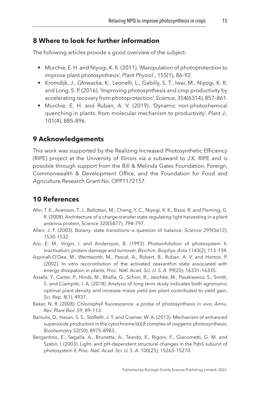### <span id="page-15-0"></span>**[8 Where to look for further information](#page-1-8)**

The following articles provide a good overview of the subject:

- Murchie, E. H. and Niyogi, K. K. (2011). 'Manipulation of photoprotection to improve plant photosynthesis', *Plant Physiol*., 155(1), 86–92.
- Kromdijk, J., Głowacka, K., Leonelli, L., Gabilly, S. T., Iwai, M., Niyogi, K. K. and Long, S. P. (2016). 'Improving photosynthesis and crop productivity by accelerating recovery from photoprotection', *Science*, 354(6314), 857–861.
- Murchie, E. H. and Ruban, A. V. (2019). 'Dynamic non-photochemical quenching in plants: from molecular mechanism to productivity', *Plant J.*, 101(4), 885–896.

# <span id="page-15-1"></span>**[9 Acknowledgements](#page-1-9)**

This work was supported by the Realizing Increased Photosynthetic Efficiency (RIPE) project at the University of Illinois via a subaward to J.K. RIPE and is possible through support from the Bill & Melinda Gates Foundation, Foreign, Commonwealth & Development Office, and the Foundation for Food and Agriculture Research Grant No. OPP1172157.

## <span id="page-15-2"></span>**[10 References](#page-1-10)**

- <span id="page-15-8"></span>Ahn, T. K., Avenson, T. J., Ballottari, M., Cheng, Y. C., Niyogi, K. K., Bassi, R. and Fleming, G. R. (2008). Architecture of a charge-transfer state regulating light harvesting in a plant antenna protein, *Science* 320(5877), 794–797.
- <span id="page-15-3"></span>Allen, J. F. (2003). Botany: state transitions—a question of balance, *Science* 299(5612), 1530–1532.
- <span id="page-15-9"></span>Aro, E. M., Virgin, I. and Andersson, B. (1993). Photoinhibition of photosystem II. Inactivation, protein damage and turnover, *Biochim. Biophys. Acta* 1143(2), 113–134.
- <span id="page-15-7"></span>Aspinall-O'Dea, M., Wentworth, M., Pascal, A., Robert, B., Ruban, A. V. and Horton, P. (2002). In vitro reconstitution of the activated zeaxanthin state associated with energy dissipation in plants, *Proc. Natl. Acad. Sci. U. S. A.* 99(25), 16331–16335.
- <span id="page-15-10"></span>Assefa, Y., Carter, P., Hinds, M., Bhalla, G., Schon, R., Jeschke, M., Paszkiewicz, S., Smith, S. and Ciampitti, I. A. (2018). Analysis of long term study indicates both agronomic optimal plant density and increase maize yield per plant contributed to yield gain, *Sci. Rep.* 8(1), 4937.
- <span id="page-15-5"></span>Baker, N. R. (2008). Chlorophyll fluorescence: a probe of photosynthesis in vivo, *Annu. Rev. Plant Biol.* 59, 89–113.
- <span id="page-15-4"></span>Baniulis, D., Hasan, S. S., Stofleth, J. T. and Cramer, W. A. (2013). Mechanism of enhanced superoxide production in the cytochrome b(6)f complex of oxygenic photosynthesis, *Biochemistry* 52(50), 8975–8983.
- <span id="page-15-6"></span>Bergantino, E., Segalla, A., Brunetta, A., Teardo, E., Rigoni, F., Giacometti, G. M. and Szabò, I. (2003). Light- and pH-dependent structural changes in the PsbS subunit of photosystem II, *Proc. Natl. Acad. Sci. U. S. A.* 100(25), 15265–15270.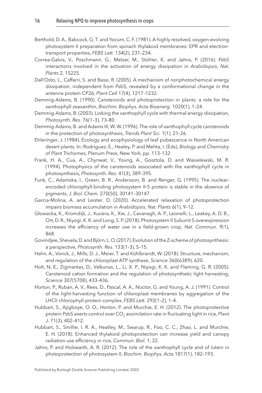- <span id="page-16-3"></span>Berthold, D. A., Babcock, G. T. and Yocum, C. F. (1981). A highly resolved, oxygen-evolving photosystem II preparation from spinach thylakoid membranes: EPR and electrontransport properties, *FEBS Lett.* 134(2), 231–234.
- <span id="page-16-6"></span>Correa-Galvis, V., Poschmann, G., Melzer, M., Stühler, K. and Jahns, P. (2016). PsbS interactions involved in the activation of energy dissipation in *Arabidopsis*, *Nat. Plants* 2, 15225.
- <span id="page-16-13"></span>Dall'Osto, L., Caffarri, S. and Bassi, R. (2005). A mechanism of nonphotochemical energy dissipation, independent from PsbS, revealed by a conformational change in the antenna protein CP26, *Plant Cell* 17(4), 1217–1232.
- <span id="page-16-8"></span>Demmig-Adams, B. (1990). Carotenoids and photoprotection in plants: a role for the xanthophyll zeaxanthin, *Biochim. Biophys. Acta Bioenerg.* 1020(1), 1–24.
- <span id="page-16-9"></span>Demmig-Adams, B. (2003). Linking the xanthophyll cycle with thermal energy dissipation, *Photosynth. Res.* 76(1–3), 73–80.
- <span id="page-16-7"></span>Demmig-Adams, B. and Adams III, W. W. (1996). The role of xanthophyll cycle carotenoids in the protection of photosynthesis, *Trends Plant Sci.* 1(1), 21–26.
- <span id="page-16-0"></span>Ehleringer, J. (1984). Ecology and ecophysiology of leaf pubescence in North American desert plants. In: Rodriguez, E., Healey, P. and Mehta, I. (Eds), *Biology and Chemistry of Plant Trichomes*, Plenum Press, New York, pp. 113–132.
- <span id="page-16-10"></span>Frank, H. A., Cua, A., Chynwat, V., Young, A., Gosztola, D. and Wasielewski, M. R. (1994). Photophysics of the carotenoids associated with the xanthophyll cycle in photosynthesis, *Photosynth. Res.* 41(3), 389–395.
- <span id="page-16-4"></span>Funk, C., Adamska, I., Green, B. R., Andersson, B. and Renger, G. (1995). The nuclearencoded chlorophyll-binding photosystem II-S protein is stable in the absence of pigments, *J. Biol. Chem.* 270(50), 30141–30147.
- <span id="page-16-17"></span>Garcia-Molina, A. and Leister, D. (2020). Accelerated relaxation of photoprotection impairs biomass accumulation in *Arabidopsis*, *Nat. Plants* 6(1), 9–12.
- <span id="page-16-15"></span>Głowacka, K., Kromdijk, J., Kucera, K., Xie, J., Cavanagh, A. P., Leonelli, L., Leakey, A. D. B., Ort, D. R., Niyogi, K. K. and Long, S. P. (2018). Photosystem II Subunit S overexpression increases the efficiency of water use in a field-grown crop, *Nat. Commun.* 9(1), 868.
- <span id="page-16-1"></span>Govindjee, Shevela, D. and Björn, L. O. (2017). Evolution of the Z-scheme of photosynthesis: a perspective, *Photosynth. Res.* 133(1–3), 5–15.
- <span id="page-16-2"></span>Hahn, A., Vonck, J., Mills, D. J., Meier, T. and Kühlbrandt, W. (2018). Structure, mechanism, and regulation of the chloroplast ATP synthase, *Science* 360(6389), 620.
- <span id="page-16-11"></span>Holt, N. E., Zigmantas, D., Valkunas, L., Li, X. P., Niyogi, K. K. and Fleming, G. R. (2005). Carotenoid cation formation and the regulation of photosynthetic light harvesting, *Science* 307(5708), 433–436.
- <span id="page-16-12"></span>Horton, P., Ruban, A. V., Rees, D., Pascal, A. A., Noctor, G. and Young, A. J. (1991). Control of the light-harvesting function of chloroplast membranes by aggregation of the LHCII chlorophyll-protein complex, *FEBS Lett.* 292(1–2), 1–4.
- <span id="page-16-14"></span>Hubbart, S., Ajigboye, O. O., Horton, P. and Murchie, E. H. (2012). The photoprotective protein PsbS exerts control over CO<sub>2</sub> assimilation rate in fluctuating light in rice, Plant *J.* 71(3), 402–412.
- <span id="page-16-16"></span>Hubbart, S., Smillie, I. R. A., Heatley, M., Swarup, R., Foo, C. C., Zhao, L. and Murchie, E. H. (2018). Enhanced thylakoid photoprotection can increase yield and canopy radiation use efficiency in rice, *Commun. Biol.* 1, 22.
- <span id="page-16-5"></span>Jahns, P. and Holzwarth, A. R. (2012). The role of the xanthophyll cycle and of lutein in photoprotection of photosystem II, *Biochim. Biophys. Acta* 1817(1), 182–193.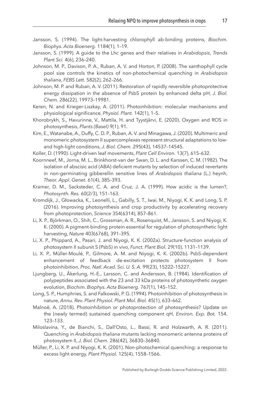- <span id="page-17-1"></span>Jansson, S. (1994). The light-harvesting chlorophyll ab-binding proteins, *Biochim. Biophys. Acta Bioenerg.* 1184(1), 1–19.
- <span id="page-17-2"></span>Jansson, S. (1999). A guide to the Lhc genes and their relatives in *Arabidopsis*, *Trends Plant Sci.* 4(6), 236–240.
- <span id="page-17-17"></span>Johnson, M. P., Davison, P. A., Ruban, A. V. and Horton, P. (2008). The xanthophyll cycle pool size controls the kinetics of non-photochemical quenching in *Arabidopsis thaliana*, *FEBS Lett.* 582(2), 262–266.
- <span id="page-17-10"></span>Johnson, M. P. and Ruban, A. V. (2011). Restoration of rapidly reversible photoprotective energy dissipation in the absence of PsbS protein by enhanced delta pH, *J. Biol. Chem.* 286(22), 19973–19981.
- <span id="page-17-14"></span>Keren, N. and Krieger-Liszkay, A. (2011). Photoinhibition: molecular mechanisms and physiological significance, *Physiol. Plant.* 142(1), 1–5.
- <span id="page-17-3"></span>Khorobrykh, S., Havurinne, V., Mattila, H. and Tyystjärvi, E. (2020). Oxygen and ROS in photosynthesis, *Plants (Basel)* 9(1), 91.
- <span id="page-17-7"></span>Kim, E., Watanabe, A., Duffy, C. D. P., Ruban, A. V. and Minagawa, J. (2020). Multimeric and monomeric photosystem II supercomplexes represent structural adaptations to lowand high-light conditions, *J. Biol. Chem.* 295(43), 14537–14545.
- <span id="page-17-0"></span>Koller, D. (1990). Light-driven leaf movements, *Plant Cell Environ.* 13(7), 615–632.
- <span id="page-17-12"></span>Koornneef, M., Jorna, M. L., Brinkhorst-van der Swan, D. L. and Karssen, C. M. (1982). The isolation of abscisic acid (ABA) deficient mutants by selection of induced revertants in non-germinating gibberellin sensitive lines of *Arabidopsis thaliana* (L.) heynh, *Theor. Appl. Genet.* 61(4), 385–393.
- <span id="page-17-5"></span>Kramer, D. M., Sacksteder, C. A. and Cruz, J. A. (1999). How acidic is the lumen?, *Photosynth. Res.* 60(2/3), 151–163.
- <span id="page-17-18"></span>Kromdijk, J., Głowacka, K., Leonelli, L., Gabilly, S. T., Iwai, M., Niyogi, K. K. and Long, S. P. (2016). Improving photosynthesis and crop productivity by accelerating recovery from photoprotection, *Science* 354(6314), 857–861.
- <span id="page-17-6"></span>Li, X. P., Björkman, O., Shih, C., Grossman, A. R., Rosenquist, M., Jansson, S. and Niyogi, K. K. (2000). A pigment-binding protein essential for regulation of photosynthetic light harvesting, *Nature* 403(6768), 391–395.
- <span id="page-17-9"></span>Li, X. P., Phippard, A., Pasari, J. and Niyogi, K. K. (2002a). Structure-function analysis of photosystem II subunit S (PsbS) in vivo, *Funct. Plant Biol.* 29(10), 1131–1139.
- <span id="page-17-13"></span>Li, X. P., Müller-Moulé, P., Gilmore, A. M. and Niyogi, K. K. (2002b). PsbS-dependent enhancement of feedback de-excitation protects photosystem II from photoinhibition, *Proc. Natl. Acad. Sci. U. S. A.* 99(23), 15222–15227.
- <span id="page-17-8"></span>Ljungberg, U., Åkerlung, H.-E., Larsson, C. and Andersson, B. (1984). Identification of polypeptides associated with the 23 and 33 kDa proteins of photosynthetic oxygen evolution, *Biochim. Biophys. Acta Bioenerg.* 767(1), 145–152.
- <span id="page-17-16"></span>Long, S. P., Humphries, S. and Falkowski, P. G. (1994). Photoinhibition of photosynthesis in nature, *Annu. Rev. Plant Physiol. Plant Mol. Biol.* 45(1), 633–662.
- <span id="page-17-15"></span>Malnoë, A. (2018). Photoinhibition or photoprotection of photosynthesis? Update on the (newly termed) sustained quenching component qH, *Environ. Exp. Bot.* 154, 123–133.
- <span id="page-17-11"></span>Miloslavina, Y., de Bianchi, S., Dall'Osto, L., Bassi, R. and Holzwarth, A. R. (2011). Quenching in *Arabidopsis thaliana* mutants lacking monomeric antenna proteins of photosystem II, *J. Biol. Chem.* 286(42), 36830–36840.
- <span id="page-17-4"></span>Müller, P., Li, X. P. and Niyogi, K. K. (2001). Non-photochemical quenching: a response to excess light energy, *Plant Physiol.* 125(4), 1558–1566.